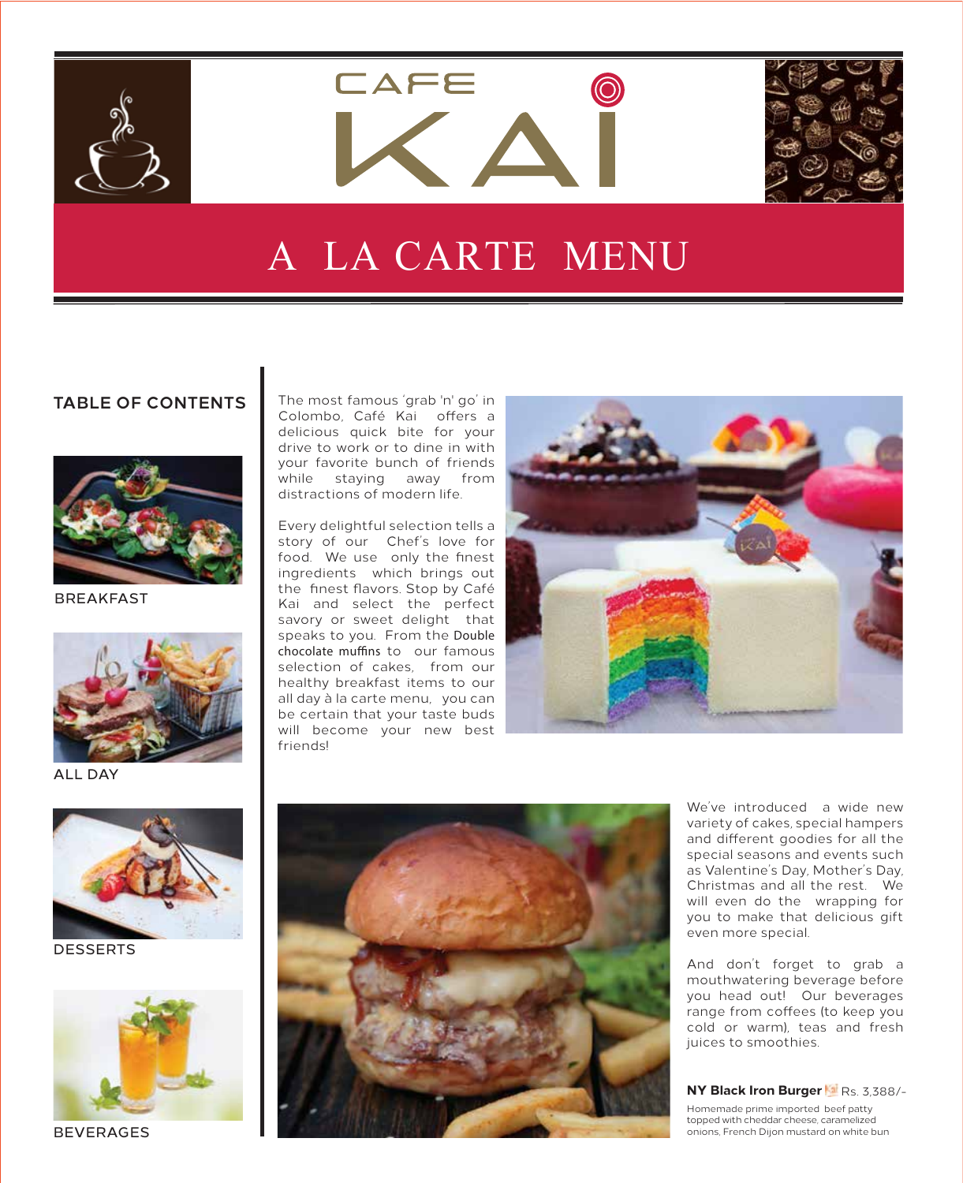

**LAFE** 



### A LA CARTE MENU

#### **TABLE OF CONTENTS**



BREAKFAST



ALL DAY



DESSERTS



BEVERAGES

The most famous 'grab 'n' go' in Colombo, Café Kai offers a delicious quick bite for your drive to work or to dine in with your favorite bunch of friends while staying away from distractions of modern life.

Every delightful selection tells a story of our Chef's love for food. We use only the finest ingredients which brings out the finest flavors. Stop by Café Kai and select the perfect savory or sweet delight that speaks to you. From the *Double chocolate muffins to our famous* selection of cakes, from our healthy breakfast items to our all day à la carte menu, you can be certain that your taste buds will become your new best friends!





We've introduced a wide new variety of cakes, special hampers and different goodies for all the special seasons and events such as Valentine's Day, Mother's Day, Christmas and all the rest. We will even do the wrapping for you to make that delicious gift even more special.

And don't forget to grab a mouthwatering beverage before you head out! Our beverages range from coffees (to keep you cold or warm), teas and fresh juices to smoothies.

#### **NY Black Iron Burger**  Rs. 3,388/-

Homemade prime imported beef patty topped with cheddar cheese, caramelized onions, French Dijon mustard on white bun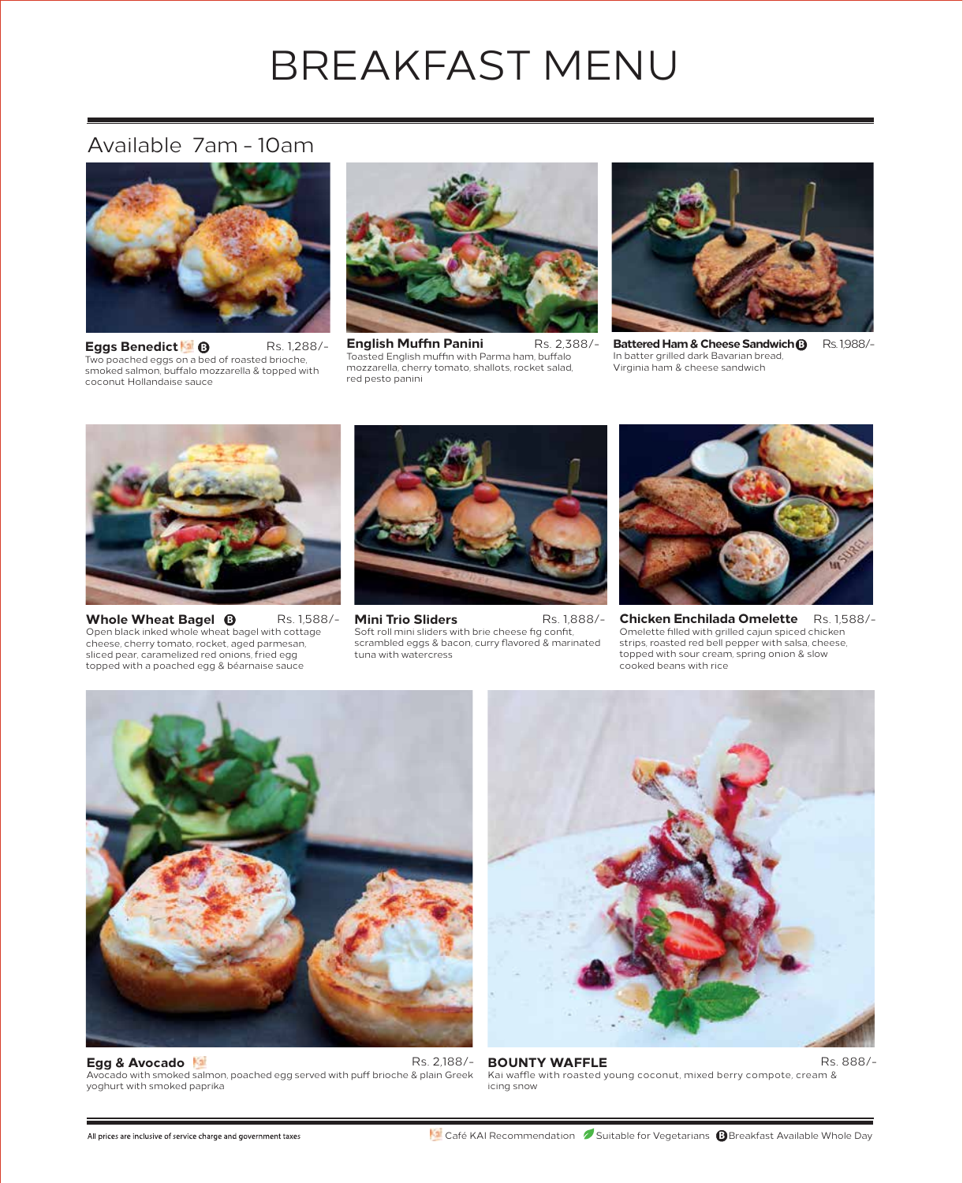## BREAKFAST MENU

### Available 7am - 10am



**Eggs Benedict**  Two poached eggs on a bed of roasted brioche,<br>smoked salmon, buffalo mozzarella & topped with coconut Hollandaise sauce **B** Rs. 1,288/-



**English Muffin Panini** Toasted English muffin with Parma ham, buffalo mozzarella, cherry tomato, shallots, rocket salad, red pesto panini Rs. 2,388/-



**Battered Ham & Cheese Sandwich B** In batter grilled dark Bavarian bread, Virginia ham & cheese sandwich Rs. 1,988/-



**Whole Wheat Bagel**  Open black inked whole wheat bagel with cottage cheese, cherry tomato, rocket, aged parmesan, sliced pear, caramelized red onions, fried egg topped with a poached egg & béarnaise sauce **B** Rs. 1,588/-



**Mini Trio Sliders** Soft roll mini sliders with brie cheese fig confit, scrambled eggs & bacon, curry flavored & marinated tuna with watercress Rs. 1,888/-



**Chicken Enchilada Omelette** Omelette filled with grilled cajun spiced chicken strips, roasted red bell pepper with salsa, cheese, topped with sour cream, spring onion & slow cooked beans with rice Rs. 1,588/-



**Egg & Avocado** Avocado with smoked salmon, poached egg served with puff brioche & plain Greek yoghurt with smoked paprika



 Rs. 2,188/- **BOUNTY WAFFLE** Kai waffle with roasted young coconut, mixed berry compote, cream & icing snow Rs. 888/-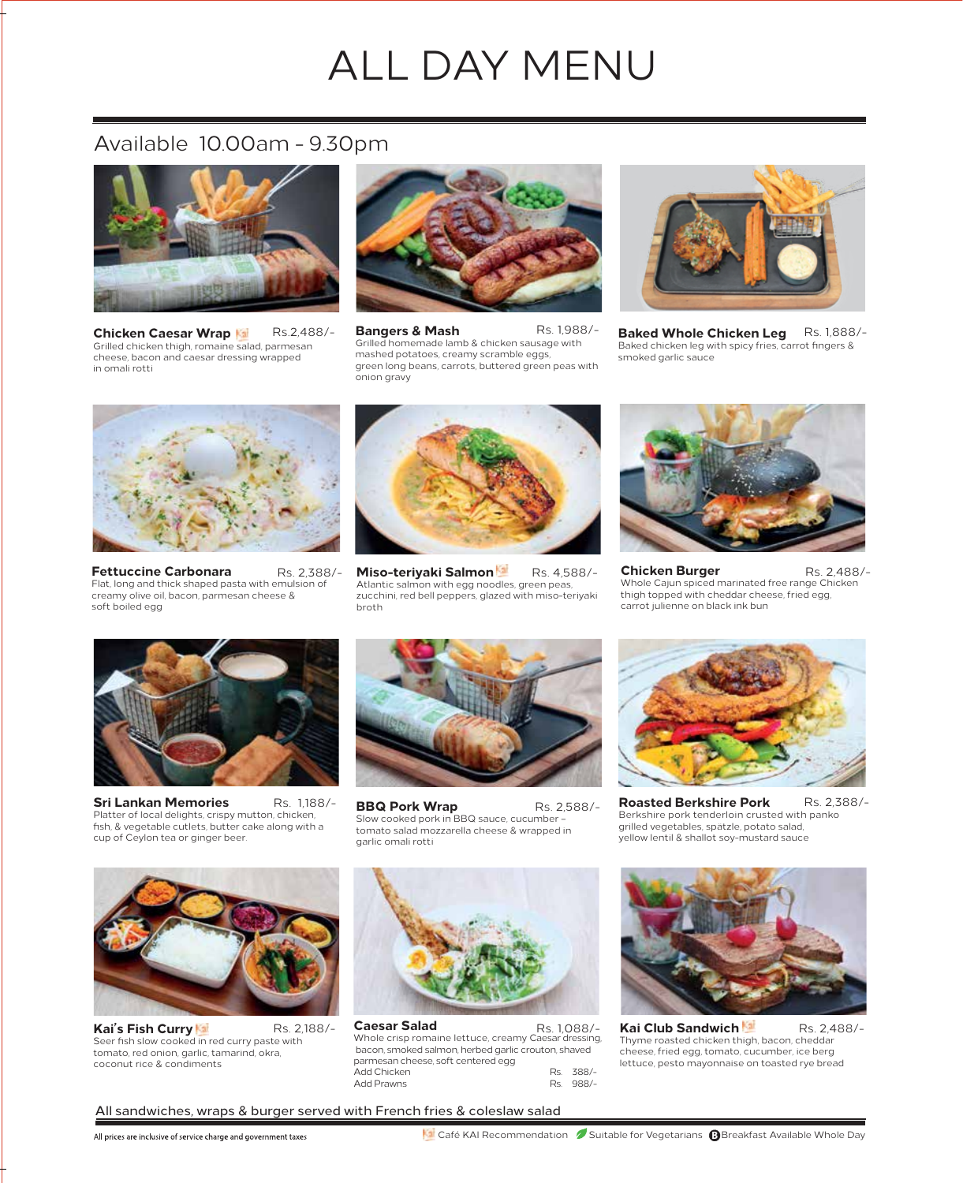## ALL DAY MENU

#### Available 10.00am - 9.30pm



**Chicken Caesar Wrap** Grilled chicken thigh, romaine salad, parmesan cheese, bacon and caesar dressing wrapped in omali rotti



Rs.2,488/- **Bangers & Mash** Grilled homemade lamb & chicken sausage with mashed potatoes, creamy scramble eggs, green long beans, carrots, buttered green peas with onion gravy



Rs. 1,988/- **Baked Whole Chicken Leg** Rs. 1,888/- Baked chicken leg with spicy fries, carrot fingers & smoked garlic sauce



**Fettuccine Carbonara**  Flat, long and thick shaped pasta with emulsion of creamy olive oil, bacon, parmesan cheese & soft boiled egg



Rs. 2,388/- **Miso-teriyaki Salmon** Atlantic salmon with egg noodles, green peas, zucchini, red bell peppers, glazed with miso-teriyaki broth Rs. 4,588/-



**Chicken Burger**  Whole Cajun spiced marinated free range Chicken thigh topped with cheddar cheese, fried egg, carrot julienne on black ink bun Rs. 2,488/-



**Sri Lankan Memories** Platter of local delights, crispy mutton, chicken, fish, & vegetable cutlets, butter cake along with a cup of Ceylon tea or ginger beer. Rs. 1,188/-



**BBQ Pork Wrap** Slow cooked pork in BBQ sauce, cucumber – tomato salad mozzarella cheese & wrapped in garlic omali rotti Rs. 2,588/-



**Roasted Berkshire Pork**  Berkshire pork tenderloin crusted with panko grilled vegetables, spätzle, potato salad, yellow lentil & shallot soy-mustard sauce Rs. 2,388/-



**Kai's Fish Curry** Seer fish slow cooked in red curry paste with tomato, red onion, garlic, tamarind, okra, coconut rice & condiments



**Caesar Salad Caesar Salad** Rs. 1,088/-<br>Whole crisp romaine lettuce, creamy Caesar dressing bacon, smoked salmon, herbed garlic crouton, shaved parmesan cheese, soft centered egg Add Chicken Rs. 388/-<br>Add Prawns Rs. 988/-Add Prawns Rs. 2,188/- **Caesar Salad** Rs. 1,088/- **Kai Club Sandwich** 



Thyme roasted chicken thigh, bacon, cheddar cheese, fried egg, tomato, cucumber, ice berg lettuce, pesto mayonnaise on toasted rye bread Rs. 2,488/-

All sandwiches, wraps & burger served with French fries & coleslaw salad